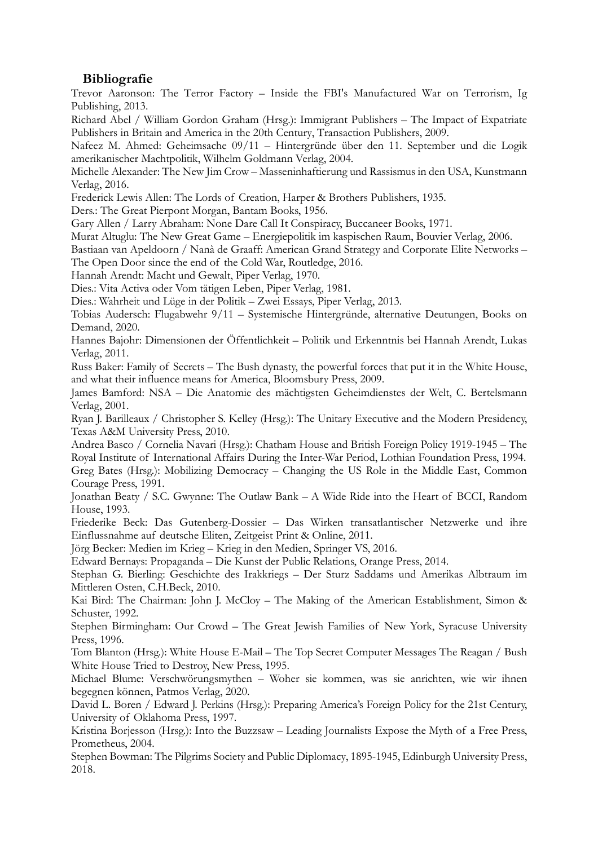## **Bibliografie**

Trevor Aaronson: The Terror Factory – Inside the FBI's Manufactured War on Terrorism, Ig Publishing, 2013.

Richard Abel / William Gordon Graham (Hrsg.): Immigrant Publishers – The Impact of Expatriate Publishers in Britain and America in the 20th Century, Transaction Publishers, 2009.

Nafeez M. Ahmed: Geheimsache 09/11 – Hintergründe über den 11. September und die Logik amerikanischer Machtpolitik, Wilhelm Goldmann Verlag, 2004.

Michelle Alexander: The New Jim Crow – Masseninhaftierung und Rassismus in den USA, Kunstmann Verlag, 2016.

Frederick Lewis Allen: The Lords of Creation, Harper & Brothers Publishers, 1935.

Ders.: The Great Pierpont Morgan, Bantam Books, 1956.

Gary Allen / Larry Abraham: None Dare Call It Conspiracy, Buccaneer Books, 1971.

Murat Altuglu: The New Great Game – Energiepolitik im kaspischen Raum, Bouvier Verlag, 2006.

Bastiaan van Apeldoorn / Nanà de Graaff: American Grand Strategy and Corporate Elite Networks – The Open Door since the end of the Cold War, Routledge, 2016.

Hannah Arendt: Macht und Gewalt, Piper Verlag, 1970.

Dies.: Vita Activa oder Vom tätigen Leben, Piper Verlag, 1981.

Dies.: Wahrheit und Lüge in der Politik – Zwei Essays, Piper Verlag, 2013.

Tobias Audersch: Flugabwehr 9/11 – Systemische Hintergründe, alternative Deutungen, Books on Demand, 2020.

Hannes Bajohr: Dimensionen der Öffentlichkeit – Politik und Erkenntnis bei Hannah Arendt, Lukas Verlag, 2011.

Russ Baker: Family of Secrets – The Bush dynasty, the powerful forces that put it in the White House, and what their influence means for America, Bloomsbury Press, 2009.

James Bamford: NSA – Die Anatomie des mächtigsten Geheimdienstes der Welt, C. Bertelsmann Verlag, 2001.

Ryan J. Barilleaux / Christopher S. Kelley (Hrsg.): The Unitary Executive and the Modern Presidency, Texas A&M University Press, 2010.

Andrea Basco / Cornelia Navari (Hrsg.): Chatham House and British Foreign Policy 1919-1945 – The Royal Institute of International Affairs During the Inter-War Period, Lothian Foundation Press, 1994. Greg Bates (Hrsg.): Mobilizing Democracy – Changing the US Role in the Middle East, Common Courage Press, 1991.

Jonathan Beaty / S.C. Gwynne: The Outlaw Bank – A Wide Ride into the Heart of BCCI, Random House, 1993.

Friederike Beck: Das Gutenberg-Dossier – Das Wirken transatlantischer Netzwerke und ihre Einflussnahme auf deutsche Eliten, Zeitgeist Print & Online, 2011.

Jörg Becker: Medien im Krieg – Krieg in den Medien, Springer VS, 2016.

Edward Bernays: Propaganda – Die Kunst der Public Relations, Orange Press, 2014.

Stephan G. Bierling: Geschichte des Irakkriegs – Der Sturz Saddams und Amerikas Albtraum im Mittleren Osten, C.H.Beck, 2010.

Kai Bird: The Chairman: John J. McCloy – The Making of the American Establishment, Simon & Schuster, 1992.

Stephen Birmingham: Our Crowd – The Great Jewish Families of New York, Syracuse University Press, 1996.

Tom Blanton (Hrsg.): White House E-Mail – The Top Secret Computer Messages The Reagan / Bush White House Tried to Destroy, New Press, 1995.

Michael Blume: Verschwörungsmythen – Woher sie kommen, was sie anrichten, wie wir ihnen begegnen können, Patmos Verlag, 2020.

David L. Boren / Edward J. Perkins (Hrsg.): Preparing America's Foreign Policy for the 21st Century, University of Oklahoma Press, 1997.

Kristina Borjesson (Hrsg.): Into the Buzzsaw – Leading Journalists Expose the Myth of a Free Press, Prometheus, 2004.

Stephen Bowman: The Pilgrims Society and Public Diplomacy, 1895-1945, Edinburgh University Press, 2018.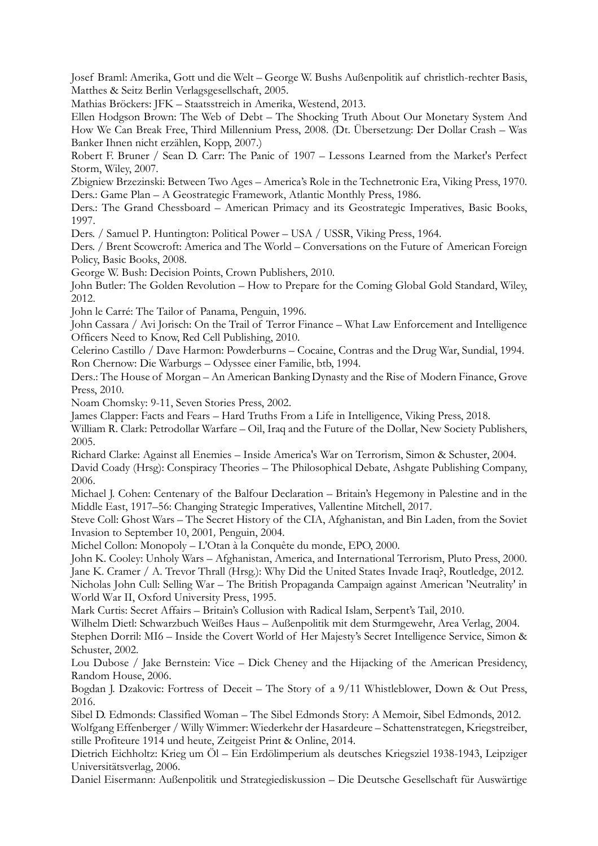Josef Braml: Amerika, Gott und die Welt – George W. Bushs Außenpolitik auf christlich-rechter Basis, Matthes & Seitz Berlin Verlagsgesellschaft, 2005.

Mathias Bröckers: JFK – Staatsstreich in Amerika, Westend, 2013.

Ellen Hodgson Brown: The Web of Debt – The Shocking Truth About Our Monetary System And How We Can Break Free, Third Millennium Press, 2008. (Dt. Übersetzung: Der Dollar Crash – Was Banker Ihnen nicht erzählen, Kopp, 2007.)

Robert F. Bruner / Sean D. Carr: The Panic of 1907 – Lessons Learned from the Market's Perfect Storm, Wiley, 2007.

Zbigniew Brzezinski: Between Two Ages – America's Role in the Technetronic Era, Viking Press, 1970. Ders.: Game Plan – A Geostrategic Framework, Atlantic Monthly Press, 1986.

Ders.: The Grand Chessboard – American Primacy and its Geostrategic Imperatives, Basic Books, 1997.

Ders. / Samuel P. Huntington: Political Power – USA / USSR, Viking Press, 1964.

Ders. / Brent Scowcroft: America and The World – Conversations on the Future of American Foreign Policy, Basic Books, 2008.

George W. Bush: Decision Points, Crown Publishers, 2010.

John Butler: The Golden Revolution – How to Prepare for the Coming Global Gold Standard, Wiley, 2012.

John le Carré: The Tailor of Panama, Penguin, 1996.

John Cassara / Avi Jorisch: On the Trail of Terror Finance – What Law Enforcement and Intelligence Officers Need to Know, Red Cell Publishing, 2010.

Celerino Castillo / Dave Harmon: Powderburns – Cocaine, Contras and the Drug War, Sundial, 1994. Ron Chernow: Die Warburgs – Odyssee einer Familie, btb, 1994.

Ders.: The House of Morgan – An American Banking Dynasty and the Rise of Modern Finance, Grove Press, 2010.

Noam Chomsky: 9-11, Seven Stories Press, 2002.

James Clapper: Facts and Fears – Hard Truths From a Life in Intelligence, Viking Press, 2018.

William R. Clark: Petrodollar Warfare – Oil, Iraq and the Future of the Dollar, New Society Publishers, 2005.

Richard Clarke: Against all Enemies – Inside America's War on Terrorism, Simon & Schuster, 2004. David Coady (Hrsg): Conspiracy Theories – The Philosophical Debate, Ashgate Publishing Company, 2006.

Michael J. Cohen: Centenary of the Balfour Declaration – Britain's Hegemony in Palestine and in the Middle East, 1917–56: Changing Strategic Imperatives, Vallentine Mitchell, 2017.

Steve Coll: Ghost Wars – The Secret History of the CIA, Afghanistan, and Bin Laden, from the Soviet Invasion to September 10, 2001*,* Penguin, 2004.

Michel Collon: Monopoly – L'Otan à la Conquête du monde, EPO, 2000.

John K. Cooley: Unholy Wars – Afghanistan, America, and International Terrorism, Pluto Press, 2000. Jane K. Cramer / A. Trevor Thrall (Hrsg.): Why Did the United States Invade Iraq?, Routledge, 2012.

Nicholas John Cull: Selling War – The British Propaganda Campaign against American 'Neutrality' in World War II, Oxford University Press, 1995.

Mark Curtis: Secret Affairs – Britain's Collusion with Radical Islam, Serpent's Tail, 2010.

Wilhelm Dietl: Schwarzbuch Weißes Haus – Außenpolitik mit dem Sturmgewehr, Area Verlag, 2004.

Stephen Dorril: MI6 – Inside the Covert World of Her Majesty's Secret Intelligence Service, Simon & Schuster, 2002.

Lou Dubose / Jake Bernstein: Vice – Dick Cheney and the Hijacking of the American Presidency, Random House, 2006.

Bogdan J. Dzakovic: Fortress of Deceit – The Story of a 9/11 Whistleblower, Down & Out Press, 2016.

Sibel D. Edmonds: Classified Woman – The Sibel Edmonds Story: A Memoir, Sibel Edmonds, 2012.

Wolfgang Effenberger / Willy Wimmer: Wiederkehr der Hasardeure – Schattenstrategen, Kriegstreiber, stille Profiteure 1914 und heute, Zeitgeist Print & Online, 2014.

Dietrich Eichholtz: Krieg um Öl – Ein Erdölimperium als deutsches Kriegsziel 1938-1943, Leipziger Universitätsverlag, 2006.

Daniel Eisermann: Außenpolitik und Strategiediskussion – Die Deutsche Gesellschaft für Auswärtige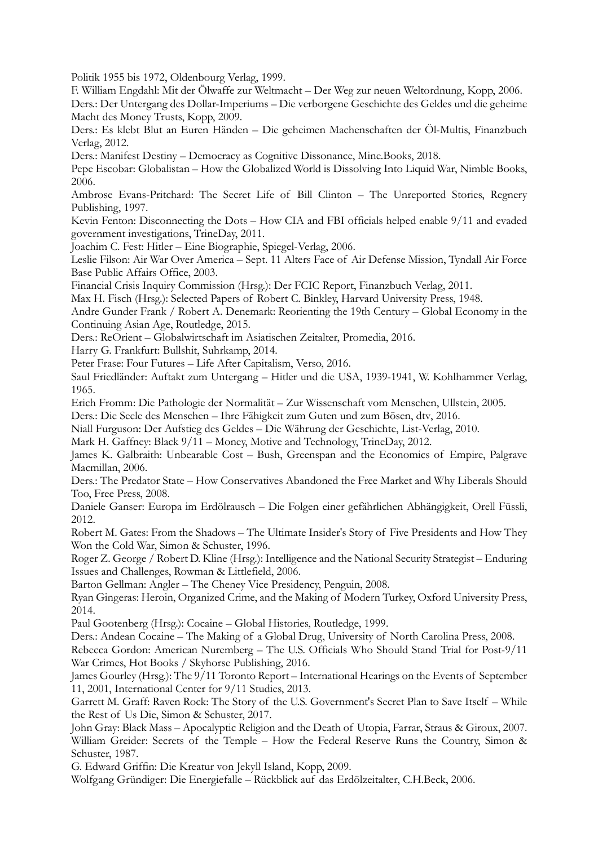Politik 1955 bis 1972, Oldenbourg Verlag, 1999.

F. William Engdahl: Mit der Ölwaffe zur Weltmacht – Der Weg zur neuen Weltordnung, Kopp, 2006.

Ders.: Der Untergang des Dollar-Imperiums – Die verborgene Geschichte des Geldes und die geheime Macht des Money Trusts, Kopp, 2009.

Ders.: Es klebt Blut an Euren Händen – Die geheimen Machenschaften der Öl-Multis, Finanzbuch Verlag, 2012.

Ders.: Manifest Destiny – Democracy as Cognitive Dissonance, Mine.Books, 2018.

Pepe Escobar: Globalistan – How the Globalized World is Dissolving Into Liquid War, Nimble Books, 2006.

Ambrose Evans-Pritchard: The Secret Life of Bill Clinton – The Unreported Stories, Regnery Publishing, 1997.

Kevin Fenton: Disconnecting the Dots – How CIA and FBI officials helped enable 9/11 and evaded government investigations, TrineDay, 2011.

Joachim C. Fest: Hitler – Eine Biographie, Spiegel-Verlag, 2006.

Leslie Filson: Air War Over America – Sept. 11 Alters Face of Air Defense Mission, Tyndall Air Force Base Public Affairs Office, 2003.

Financial Crisis Inquiry Commission (Hrsg.): Der FCIC Report, Finanzbuch Verlag, 2011.

Max H. Fisch (Hrsg.): Selected Papers of Robert C. Binkley, Harvard University Press, 1948.

Andre Gunder Frank / Robert A. Denemark: Reorienting the 19th Century – Global Economy in the Continuing Asian Age, Routledge, 2015.

Ders.: ReOrient – Globalwirtschaft im Asiatischen Zeitalter, Promedia, 2016.

Harry G. Frankfurt: Bullshit, Suhrkamp, 2014.

Peter Frase: Four Futures – Life After Capitalism, Verso, 2016.

Saul Friedländer: Auftakt zum Untergang – Hitler und die USA, 1939-1941, W. Kohlhammer Verlag, 1965.

Erich Fromm: Die Pathologie der Normalität – Zur Wissenschaft vom Menschen, Ullstein, 2005.

Ders.: Die Seele des Menschen – Ihre Fähigkeit zum Guten und zum Bösen, dtv, 2016.

Niall Furguson: Der Aufstieg des Geldes – Die Währung der Geschichte, List-Verlag, 2010.

Mark H. Gaffney: Black 9/11 – Money, Motive and Technology, TrineDay, 2012.

James K. Galbraith: Unbearable Cost – Bush, Greenspan and the Economics of Empire, Palgrave Macmillan, 2006.

Ders.: The Predator State – How Conservatives Abandoned the Free Market and Why Liberals Should Too, Free Press, 2008.

Daniele Ganser: Europa im Erdölrausch – Die Folgen einer gefährlichen Abhängigkeit, Orell Füssli, 2012.

Robert M. Gates: From the Shadows – The Ultimate Insider's Story of Five Presidents and How They Won the Cold War, Simon & Schuster, 1996.

Roger Z. George / Robert D. Kline (Hrsg.): Intelligence and the National Security Strategist – Enduring Issues and Challenges, Rowman & Littlefield, 2006.

Barton Gellman: Angler – The Cheney Vice Presidency, Penguin, 2008.

Ryan Gingeras: Heroin, Organized Crime, and the Making of Modern Turkey, Oxford University Press, 2014.

Paul Gootenberg (Hrsg.): Cocaine – Global Histories, Routledge, 1999.

Ders.: Andean Cocaine – The Making of a Global Drug, University of North Carolina Press, 2008.

Rebecca Gordon: American Nuremberg – The U.S. Officials Who Should Stand Trial for Post-9/11 War Crimes, Hot Books / Skyhorse Publishing, 2016.

James Gourley (Hrsg.): The 9/11 Toronto Report – International Hearings on the Events of September 11, 2001, International Center for 9/11 Studies, 2013.

Garrett M. Graff: Raven Rock: The Story of the U.S. Government's Secret Plan to Save Itself – While the Rest of Us Die, Simon & Schuster, 2017.

John Gray: Black Mass – Apocalyptic Religion and the Death of Utopia, Farrar, Straus & Giroux, 2007. William Greider: Secrets of the Temple – How the Federal Reserve Runs the Country, Simon & Schuster, 1987.

G. Edward Griffin: Die Kreatur von Jekyll Island, Kopp, 2009.

Wolfgang Gründiger: Die Energiefalle – Rückblick auf das Erdölzeitalter, C.H.Beck, 2006.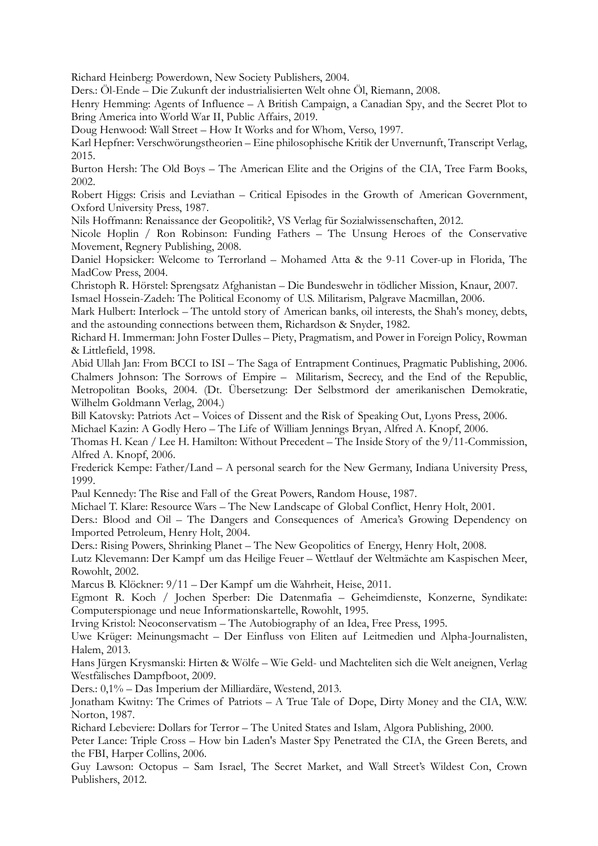Richard Heinberg: Powerdown, New Society Publishers, 2004.

Ders.: Öl-Ende – Die Zukunft der industrialisierten Welt ohne Öl, Riemann, 2008.

Henry Hemming: Agents of Influence – A British Campaign, a Canadian Spy, and the Secret Plot to Bring America into World War II, Public Affairs, 2019.

Doug Henwood: Wall Street – How It Works and for Whom, Verso, 1997.

Karl Hepfner: Verschwörungstheorien – Eine philosophische Kritik der Unvernunft, Transcript Verlag, 2015.

Burton Hersh: The Old Boys – The American Elite and the Origins of the CIA, Tree Farm Books, 2002.

Robert Higgs: Crisis and Leviathan – Critical Episodes in the Growth of American Government, Oxford University Press, 1987.

Nils Hoffmann: Renaissance der Geopolitik?, VS Verlag für Sozialwissenschaften, 2012.

Nicole Hoplin / Ron Robinson: Funding Fathers – The Unsung Heroes of the Conservative Movement, Regnery Publishing, 2008.

Daniel Hopsicker: Welcome to Terrorland – Mohamed Atta & the 9-11 Cover-up in Florida, The MadCow Press, 2004.

Christoph R. Hörstel: Sprengsatz Afghanistan – Die Bundeswehr in tödlicher Mission, Knaur, 2007.

Ismael Hossein-Zadeh: The Political Economy of U.S. Militarism, Palgrave Macmillan, 2006.

Mark Hulbert: Interlock – The untold story of American banks, oil interests, the Shah's money, debts, and the astounding connections between them, Richardson & Snyder, 1982.

Richard H. Immerman: John Foster Dulles – Piety, Pragmatism, and Power in Foreign Policy, Rowman & Littlefield, 1998.

Abid Ullah Jan: From BCCI to ISI – The Saga of Entrapment Continues, Pragmatic Publishing, 2006. Chalmers Johnson: The Sorrows of Empire – Militarism, Secrecy, and the End of the Republic, Metropolitan Books, 2004. (Dt. Übersetzung: Der Selbstmord der amerikanischen Demokratie, Wilhelm Goldmann Verlag, 2004.)

Bill Katovsky: Patriots Act – Voices of Dissent and the Risk of Speaking Out, Lyons Press, 2006.

Michael Kazin: A Godly Hero – The Life of William Jennings Bryan, Alfred A. Knopf, 2006.

Thomas H. Kean / Lee H. Hamilton: Without Precedent – The Inside Story of the 9/11-Commission, Alfred A. Knopf, 2006.

Frederick Kempe: Father/Land – A personal search for the New Germany, Indiana University Press, 1999.

Paul Kennedy: The Rise and Fall of the Great Powers, Random House, 1987.

Michael T. Klare: Resource Wars – The New Landscape of Global Conflict, Henry Holt, 2001.

Ders.: Blood and Oil – The Dangers and Consequences of America's Growing Dependency on Imported Petroleum, Henry Holt, 2004.

Ders.: Rising Powers, Shrinking Planet – The New Geopolitics of Energy, Henry Holt, 2008.

Lutz Klevemann: Der Kampf um das Heilige Feuer – Wettlauf der Weltmächte am Kaspischen Meer, Rowohlt, 2002.

Marcus B. Klöckner: 9/11 – Der Kampf um die Wahrheit, Heise, 2011.

Egmont R. Koch / Jochen Sperber: Die Datenmafia – Geheimdienste, Konzerne, Syndikate: Computerspionage und neue Informationskartelle, Rowohlt, 1995.

Irving Kristol: Neoconservatism – The Autobiography of an Idea, Free Press, 1995.

Uwe Krüger: Meinungsmacht – Der Einfluss von Eliten auf Leitmedien und Alpha-Journalisten, Halem, 2013.

Hans Jürgen Krysmanski: Hirten & Wölfe – Wie Geld- und Machteliten sich die Welt aneignen, Verlag Westfälisches Dampfboot, 2009.

Ders.: 0,1% – Das Imperium der Milliardäre, Westend, 2013.

Jonatham Kwitny: The Crimes of Patriots – A True Tale of Dope, Dirty Money and the CIA, W.W. Norton, 1987.

Richard Lebeviere: Dollars for Terror – The United States and Islam, Algora Publishing, 2000.

Peter Lance: Triple Cross – How bin Laden's Master Spy Penetrated the CIA, the Green Berets, and the FBI, Harper Collins, 2006.

Guy Lawson: Octopus – Sam Israel, The Secret Market, and Wall Street's Wildest Con, Crown Publishers, 2012.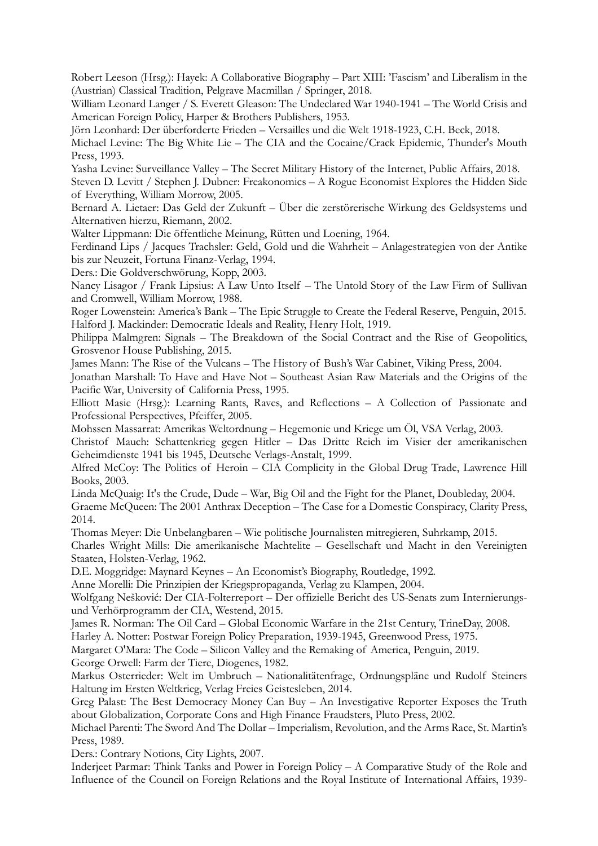Robert Leeson (Hrsg.): Hayek: A Collaborative Biography – Part XIII: 'Fascism' and Liberalism in the (Austrian) Classical Tradition, Pelgrave Macmillan / Springer, 2018.

William Leonard Langer / S. Everett Gleason: The Undeclared War 1940-1941 – The World Crisis and American Foreign Policy, Harper & Brothers Publishers, 1953.

Jörn Leonhard: Der überforderte Frieden – Versailles und die Welt 1918-1923, C.H. Beck, 2018.

Michael Levine: The Big White Lie – The CIA and the Cocaine/Crack Epidemic, Thunder's Mouth Press, 1993.

Yasha Levine: Surveillance Valley – The Secret Military History of the Internet, Public Affairs, 2018. Steven D. Levitt / Stephen J. Dubner: Freakonomics – A Rogue Economist Explores the Hidden Side of Everything, William Morrow, 2005.

Bernard A. Lietaer: Das Geld der Zukunft – Über die zerstörerische Wirkung des Geldsystems und Alternativen hierzu, Riemann, 2002.

Walter Lippmann: Die öffentliche Meinung, Rütten und Loening, 1964.

Ferdinand Lips / Jacques Trachsler: Geld, Gold und die Wahrheit – Anlagestrategien von der Antike bis zur Neuzeit, Fortuna Finanz-Verlag, 1994.

Ders.: Die Goldverschwörung, Kopp, 2003.

Nancy Lisagor / Frank Lipsius: A Law Unto Itself – The Untold Story of the Law Firm of Sullivan and Cromwell, William Morrow, 1988.

Roger Lowenstein: America's Bank – The Epic Struggle to Create the Federal Reserve, Penguin, 2015. Halford J. Mackinder: Democratic Ideals and Reality, Henry Holt, 1919.

Philippa Malmgren: Signals – The Breakdown of the Social Contract and the Rise of Geopolitics, Grosvenor House Publishing, 2015.

James Mann: The Rise of the Vulcans – The History of Bush's War Cabinet, Viking Press, 2004.

Jonathan Marshall: To Have and Have Not – Southeast Asian Raw Materials and the Origins of the Pacific War, University of California Press, 1995.

Elliott Masie (Hrsg.): Learning Rants, Raves, and Reflections – A Collection of Passionate and Professional Perspectives, Pfeiffer, 2005.

Mohssen Massarrat: Amerikas Weltordnung – Hegemonie und Kriege um Öl, VSA Verlag, 2003.

Christof Mauch: Schattenkrieg gegen Hitler – Das Dritte Reich im Visier der amerikanischen Geheimdienste 1941 bis 1945, Deutsche Verlags-Anstalt, 1999.

Alfred McCoy: The Politics of Heroin – CIA Complicity in the Global Drug Trade, Lawrence Hill Books, 2003.

Linda McQuaig: It's the Crude, Dude – War, Big Oil and the Fight for the Planet, Doubleday, 2004.

Graeme McQueen: The 2001 Anthrax Deception – The Case for a Domestic Conspiracy, Clarity Press, 2014.

Thomas Meyer: Die Unbelangbaren – Wie politische Journalisten mitregieren, Suhrkamp, 2015.

Charles Wright Mills: Die amerikanische Machtelite – Gesellschaft und Macht in den Vereinigten Staaten, Holsten-Verlag, 1962.

D.E. Moggridge: Maynard Keynes – An Economist's Biography, Routledge, 1992.

Anne Morelli: Die Prinzipien der Kriegspropaganda, Verlag zu Klampen, 2004.

Wolfgang Nešković: Der CIA-Folterreport – Der offizielle Bericht des US-Senats zum Internierungsund Verhörprogramm der CIA, Westend, 2015.

James R. Norman: The Oil Card – Global Economic Warfare in the 21st Century, TrineDay, 2008.

Harley A. Notter: Postwar Foreign Policy Preparation, 1939-1945, Greenwood Press, 1975.

Margaret O'Mara: The Code – Silicon Valley and the Remaking of America, Penguin, 2019.

George Orwell: Farm der Tiere, Diogenes, 1982.

Markus Osterrieder: Welt im Umbruch – Nationalitätenfrage, Ordnungspläne und Rudolf Steiners Haltung im Ersten Weltkrieg, Verlag Freies Geistesleben, 2014.

Greg Palast: The Best Democracy Money Can Buy – An Investigative Reporter Exposes the Truth about Globalization, Corporate Cons and High Finance Fraudsters, Pluto Press, 2002.

Michael Parenti: The Sword And The Dollar – Imperialism, Revolution, and the Arms Race, St. Martin's Press, 1989.

Ders.: Contrary Notions, City Lights, 2007.

Inderjeet Parmar: Think Tanks and Power in Foreign Policy – A Comparative Study of the Role and Influence of the Council on Foreign Relations and the Royal Institute of International Affairs, 1939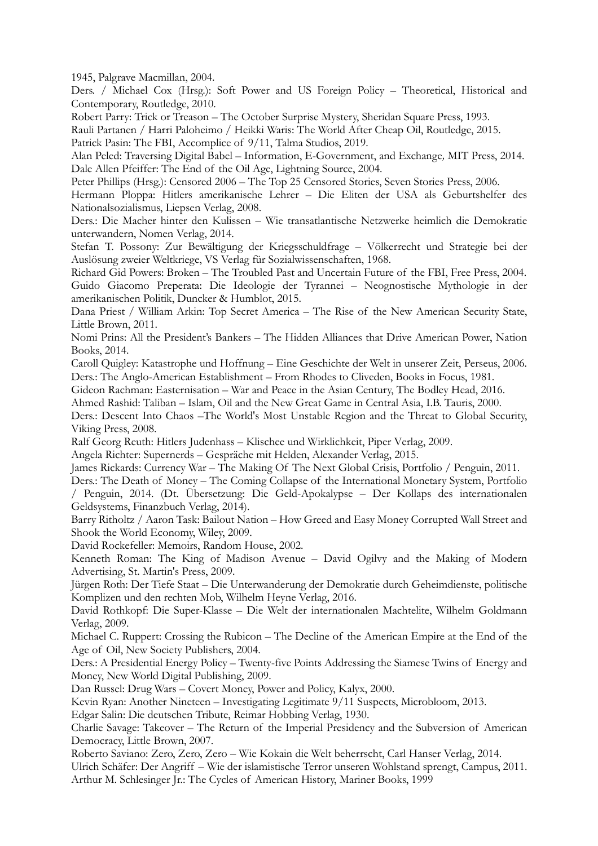1945, Palgrave Macmillan, 2004.

Ders. / Michael Cox (Hrsg.): Soft Power and US Foreign Policy – Theoretical, Historical and Contemporary, Routledge, 2010.

Robert Parry: Trick or Treason – The October Surprise Mystery, Sheridan Square Press, 1993.

Rauli Partanen / Harri Paloheimo / Heikki Waris: The World After Cheap Oil, Routledge, 2015.

Patrick Pasin: The FBI, Accomplice of 9/11, Talma Studios, 2019.

Alan Peled: Traversing Digital Babel – Information, E-Government, and Exchange*,* MIT Press, 2014. Dale Allen Pfeiffer: The End of the Oil Age, Lightning Source, 2004.

Peter Phillips (Hrsg.): Censored 2006 – The Top 25 Censored Stories, Seven Stories Press, 2006.

Hermann Ploppa: Hitlers amerikanische Lehrer – Die Eliten der USA als Geburtshelfer des Nationalsozialismus, Liepsen Verlag, 2008.

Ders.: Die Macher hinter den Kulissen – Wie transatlantische Netzwerke heimlich die Demokratie unterwandern, Nomen Verlag, 2014.

Stefan T. Possony: Zur Bewältigung der Kriegsschuldfrage – Völkerrecht und Strategie bei der Auslösung zweier Weltkriege, VS Verlag für Sozialwissenschaften, 1968.

Richard Gid Powers: Broken – The Troubled Past and Uncertain Future of the FBI, Free Press, 2004. Guido Giacomo Preperata: Die Ideologie der Tyrannei – Neognostische Mythologie in der amerikanischen Politik, Duncker & Humblot, 2015.

Dana Priest / William Arkin: Top Secret America – The Rise of the New American Security State, Little Brown, 2011.

Nomi Prins: All the President's Bankers – The Hidden Alliances that Drive American Power, Nation Books, 2014.

Caroll Quigley: Katastrophe und Hoffnung – Eine Geschichte der Welt in unserer Zeit, Perseus, 2006. Ders.: The Anglo-American Establishment – From Rhodes to Cliveden, Books in Focus, 1981.

Gideon Rachman: Easternisation – War and Peace in the Asian Century, The Bodley Head, 2016.

Ahmed Rashid: Taliban – Islam, Oil and the New Great Game in Central Asia, I.B. Tauris, 2000.

Ders.: Descent Into Chaos –The World's Most Unstable Region and the Threat to Global Security, Viking Press, 2008.

Ralf Georg Reuth: Hitlers Judenhass – Klischee und Wirklichkeit, Piper Verlag, 2009.

Angela Richter: Supernerds – Gespräche mit Helden, Alexander Verlag, 2015.

James Rickards: Currency War – The Making Of The Next Global Crisis, Portfolio / Penguin, 2011.

Ders.: The Death of Money – The Coming Collapse of the International Monetary System, Portfolio / Penguin, 2014. (Dt. Übersetzung: Die Geld-Apokalypse – Der Kollaps des internationalen Geldsystems, Finanzbuch Verlag, 2014).

Barry Ritholtz / Aaron Task: Bailout Nation – How Greed and Easy Money Corrupted Wall Street and Shook the World Economy, Wiley, 2009.

David Rockefeller: Memoirs, Random House, 2002.

Kenneth Roman: The King of Madison Avenue – David Ogilvy and the Making of Modern Advertising, St. Martin's Press, 2009.

Jürgen Roth: Der Tiefe Staat – Die Unterwanderung der Demokratie durch Geheimdienste, politische Komplizen und den rechten Mob, Wilhelm Heyne Verlag, 2016.

David Rothkopf: Die Super-Klasse – Die Welt der internationalen Machtelite, Wilhelm Goldmann Verlag, 2009.

Michael C. Ruppert: Crossing the Rubicon – The Decline of the American Empire at the End of the Age of Oil, New Society Publishers, 2004.

Ders.: A Presidential Energy Policy – Twenty-five Points Addressing the Siamese Twins of Energy and Money, New World Digital Publishing, 2009.

Dan Russel: Drug Wars – Covert Money, Power and Policy, Kalyx, 2000.

Kevin Ryan: Another Nineteen – Investigating Legitimate 9/11 Suspects, Microbloom, 2013.

Edgar Salin: Die deutschen Tribute, Reimar Hobbing Verlag, 1930.

Charlie Savage: Takeover – The Return of the Imperial Presidency and the Subversion of American Democracy, Little Brown, 2007.

Roberto Saviano: Zero, Zero, Zero – Wie Kokain die Welt beherrscht, Carl Hanser Verlag, 2014.

Ulrich Schäfer: Der Angriff – Wie der islamistische Terror unseren Wohlstand sprengt, Campus, 2011. Arthur M. Schlesinger Jr.: The Cycles of American History, Mariner Books, 1999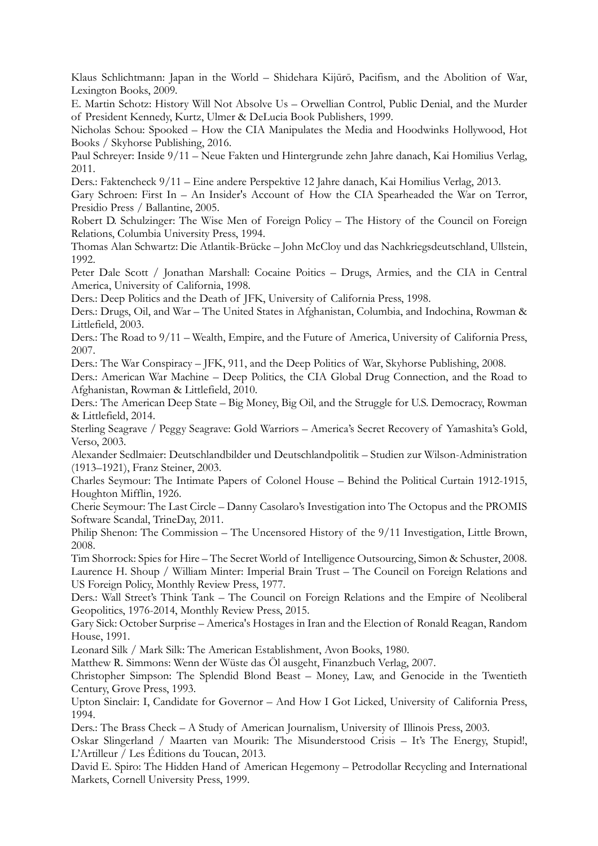Klaus Schlichtmann: Japan in the World – Shidehara Kijūrō, Pacifism, and the Abolition of War, Lexington Books, 2009.

E. Martin Schotz: History Will Not Absolve Us – Orwellian Control, Public Denial, and the Murder of President Kennedy, Kurtz, Ulmer & DeLucia Book Publishers, 1999.

Nicholas Schou: Spooked – How the CIA Manipulates the Media and Hoodwinks Hollywood, Hot Books / Skyhorse Publishing, 2016.

Paul Schreyer: Inside 9/11 – Neue Fakten und Hintergrunde zehn Jahre danach, Kai Homilius Verlag, 2011.

Ders.: Faktencheck 9/11 – Eine andere Perspektive 12 Jahre danach, Kai Homilius Verlag, 2013.

Gary Schroen: First In – An Insider's Account of How the CIA Spearheaded the War on Terror, Presidio Press / Ballantine, 2005.

Robert D. Schulzinger: The Wise Men of Foreign Policy – The History of the Council on Foreign Relations, Columbia University Press, 1994.

Thomas Alan Schwartz: Die Atlantik-Brücke – John McCloy und das Nachkriegsdeutschland, Ullstein, 1992.

Peter Dale Scott / Jonathan Marshall: Cocaine Poitics – Drugs, Armies, and the CIA in Central America, University of California, 1998.

Ders.: Deep Politics and the Death of JFK, University of California Press, 1998.

Ders.: Drugs, Oil, and War – The United States in Afghanistan, Columbia, and Indochina, Rowman & Littlefield, 2003.

Ders.: The Road to 9/11 – Wealth, Empire, and the Future of America, University of California Press, 2007.

Ders.: The War Conspiracy – JFK, 911, and the Deep Politics of War, Skyhorse Publishing, 2008.

Ders.: American War Machine – Deep Politics, the CIA Global Drug Connection, and the Road to Afghanistan, Rowman & Littlefield, 2010.

Ders.: The American Deep State – Big Money, Big Oil, and the Struggle for U.S. Democracy, Rowman & Littlefield, 2014.

Sterling Seagrave / Peggy Seagrave: Gold Warriors – America's Secret Recovery of Yamashita's Gold, Verso, 2003.

Alexander Sedlmaier: Deutschlandbilder und Deutschlandpolitik – Studien zur Wilson-Administration (1913–1921), Franz Steiner, 2003.

Charles Seymour: The Intimate Papers of Colonel House – Behind the Political Curtain 1912-1915, Houghton Mifflin, 1926.

Cherie Seymour: The Last Circle – Danny Casolaro's Investigation into The Octopus and the PROMIS Software Scandal, TrineDay, 2011.

Philip Shenon: The Commission – The Uncensored History of the 9/11 Investigation, Little Brown, 2008.

Tim Shorrock: Spies for Hire – The Secret World of Intelligence Outsourcing, Simon & Schuster, 2008. Laurence H. Shoup / William Minter: Imperial Brain Trust – The Council on Foreign Relations and US Foreign Policy, Monthly Review Press, 1977.

Ders.: Wall Street's Think Tank – The Council on Foreign Relations and the Empire of Neoliberal Geopolitics, 1976-2014, Monthly Review Press, 2015.

Gary Sick: October Surprise – America's Hostages in Iran and the Election of Ronald Reagan, Random House, 1991.

Leonard Silk / Mark Silk: The American Establishment, Avon Books, 1980.

Matthew R. Simmons: Wenn der Wüste das Öl ausgeht, Finanzbuch Verlag, 2007.

Christopher Simpson: The Splendid Blond Beast – Money, Law, and Genocide in the Twentieth Century, Grove Press, 1993.

Upton Sinclair: I, Candidate for Governor – And How I Got Licked, University of California Press, 1994.

Ders.: The Brass Check – A Study of American Journalism, University of Illinois Press, 2003.

Oskar Slingerland / Maarten van Mourik: The Misunderstood Crisis – It's The Energy, Stupid!, L'Artilleur / Les Éditions du Toucan, 2013.

David E. Spiro: The Hidden Hand of American Hegemony – Petrodollar Recycling and International Markets, Cornell University Press, 1999.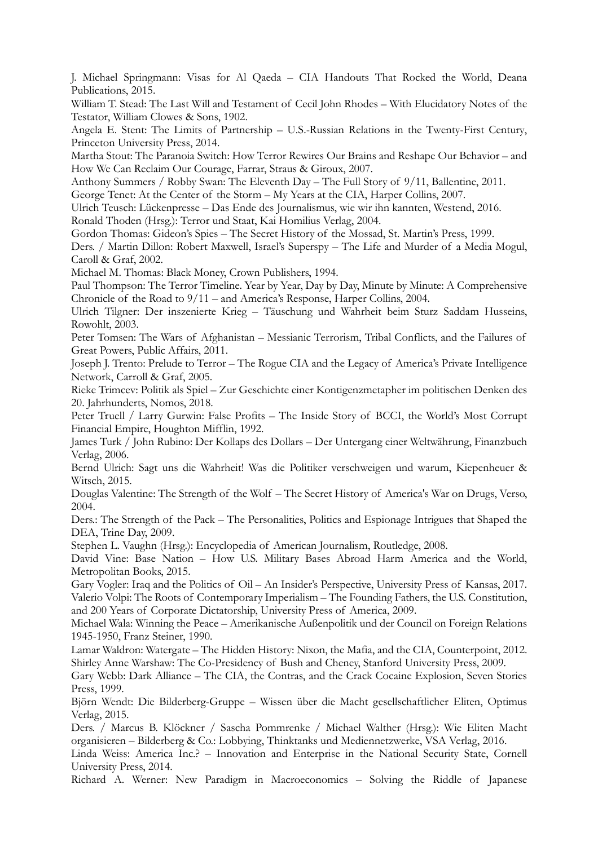J. Michael Springmann: Visas for Al Qaeda – CIA Handouts That Rocked the World, Deana Publications, 2015.

William T. Stead: The Last Will and Testament of Cecil John Rhodes – With Elucidatory Notes of the Testator, William Clowes & Sons, 1902.

Angela E. Stent: The Limits of Partnership – U.S.-Russian Relations in the Twenty-First Century, Princeton University Press, 2014.

Martha Stout: The Paranoia Switch: How Terror Rewires Our Brains and Reshape Our Behavior – and How We Can Reclaim Our Courage, Farrar, Straus & Giroux, 2007.

Anthony Summers / Robby Swan: The Eleventh Day – The Full Story of 9/11, Ballentine, 2011.

George Tenet: At the Center of the Storm – My Years at the CIA, Harper Collins, 2007.

Ulrich Teusch: Lückenpresse – Das Ende des Journalismus, wie wir ihn kannten, Westend, 2016.

Ronald Thoden (Hrsg.): Terror und Staat, Kai Homilius Verlag, 2004.

Gordon Thomas: Gideon's Spies – The Secret History of the Mossad, St. Martin's Press, 1999.

Ders. / Martin Dillon: Robert Maxwell, Israel's Superspy – The Life and Murder of a Media Mogul, Caroll & Graf, 2002.

Michael M. Thomas: Black Money, Crown Publishers, 1994.

Paul Thompson: The Terror Timeline. Year by Year, Day by Day, Minute by Minute: A Comprehensive Chronicle of the Road to 9/11 – and America's Response, Harper Collins, 2004.

Ulrich Tilgner: Der inszenierte Krieg – Täuschung und Wahrheit beim Sturz Saddam Husseins, Rowohlt, 2003.

Peter Tomsen: The Wars of Afghanistan – Messianic Terrorism, Tribal Conflicts, and the Failures of Great Powers, Public Affairs, 2011.

Joseph J. Trento: Prelude to Terror – The Rogue CIA and the Legacy of America's Private Intelligence Network, Carroll & Graf, 2005.

Rieke Trimcev: Politik als Spiel – Zur Geschichte einer Kontigenzmetapher im politischen Denken des 20. Jahrhunderts, Nomos, 2018.

Peter Truell / Larry Gurwin: False Profits – The Inside Story of BCCI, the World's Most Corrupt Financial Empire, Houghton Mifflin, 1992.

James Turk / John Rubino: Der Kollaps des Dollars – Der Untergang einer Weltwährung, Finanzbuch Verlag, 2006.

Bernd Ulrich: Sagt uns die Wahrheit! Was die Politiker verschweigen und warum, Kiepenheuer & Witsch, 2015.

Douglas Valentine: The Strength of the Wolf – The Secret History of America's War on Drugs, Verso, 2004.

Ders.: The Strength of the Pack – The Personalities, Politics and Espionage Intrigues that Shaped the DEA, Trine Day, 2009.

Stephen L. Vaughn (Hrsg.): Encyclopedia of American Journalism, Routledge, 2008.

David Vine: Base Nation – How U.S. Military Bases Abroad Harm America and the World, Metropolitan Books, 2015.

Gary Vogler: Iraq and the Politics of Oil – An Insider's Perspective, University Press of Kansas, 2017. Valerio Volpi: The Roots of Contemporary Imperialism – The Founding Fathers, the U.S. Constitution, and 200 Years of Corporate Dictatorship, University Press of America, 2009.

Michael Wala: Winning the Peace – Amerikanische Außenpolitik und der Council on Foreign Relations 1945-1950, Franz Steiner, 1990.

Lamar Waldron: Watergate – The Hidden History: Nixon, the Mafia, and the CIA, Counterpoint, 2012. Shirley Anne Warshaw: The Co-Presidency of Bush and Cheney, Stanford University Press, 2009.

Gary Webb: Dark Alliance – The CIA, the Contras, and the Crack Cocaine Explosion, Seven Stories Press, 1999.

Björn Wendt: Die Bilderberg-Gruppe – Wissen über die Macht gesellschaftlicher Eliten, Optimus Verlag, 2015.

Ders. / Marcus B. Klöckner / Sascha Pommrenke / Michael Walther (Hrsg.): Wie Eliten Macht organisieren – Bilderberg & Co.: Lobbying, Thinktanks und Mediennetzwerke, VSA Verlag, 2016.

Linda Weiss: America Inc.? – Innovation and Enterprise in the National Security State, Cornell University Press, 2014.

Richard A. Werner: New Paradigm in Macroeconomics – Solving the Riddle of Japanese